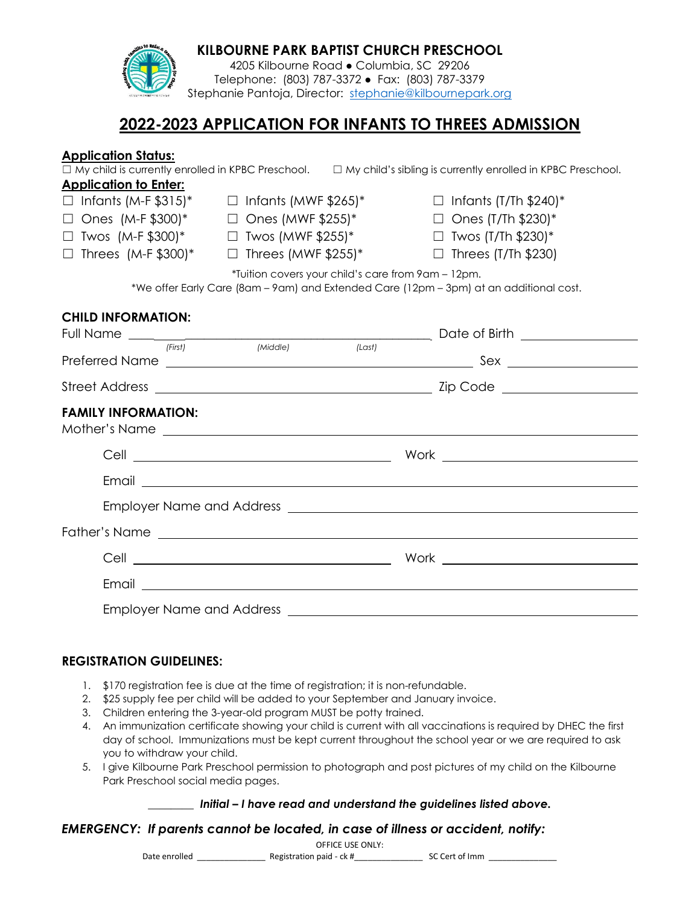| 4205 Kilbourne Road · Columbia, SC 29206<br>Telephone: (803) 787-3372 · Fax: (803) 787-3379                                                  |         |                                                          |        |                                                                                                                                                                                                                                      |  |  |  |
|----------------------------------------------------------------------------------------------------------------------------------------------|---------|----------------------------------------------------------|--------|--------------------------------------------------------------------------------------------------------------------------------------------------------------------------------------------------------------------------------------|--|--|--|
|                                                                                                                                              |         | Stephanie Pantoja, Director: stephanie@kilbournepark.org |        |                                                                                                                                                                                                                                      |  |  |  |
| 2022-2023 APPLICATION FOR INFANTS TO THREES ADMISSION                                                                                        |         |                                                          |        |                                                                                                                                                                                                                                      |  |  |  |
| <b>Application Status:</b><br><b>Application to Enter:</b>                                                                                   |         |                                                          |        | $\Box$ My child is currently enrolled in KPBC Preschool. $\Box$ My child's sibling is currently enrolled in KPBC Preschool.                                                                                                          |  |  |  |
|                                                                                                                                              |         | $\Box$ Infants (M-F \$315)* $\Box$ Infants (MWF \$265)*  |        | $\Box$ Infants (T/Th \$240)*                                                                                                                                                                                                         |  |  |  |
| $\Box$ Ones (M-F \$300)* $\Box$ Ones (MWF \$255)*                                                                                            |         |                                                          |        | $\Box$ Ones (T/Th \$230)*                                                                                                                                                                                                            |  |  |  |
| $\Box$ Twos (M-F \$300)*                                                                                                                     |         | $\Box$ Twos (MWF \$255)*                                 |        | $\Box$ Twos (T/Th \$230)*                                                                                                                                                                                                            |  |  |  |
| $\Box$ Threes (M-F \$300)*                                                                                                                   |         | $\Box$ Threes (MWF \$255)*                               |        | $\Box$ Threes (T/Th \$230)                                                                                                                                                                                                           |  |  |  |
| *Tuition covers your child's care from 9am - 12pm.<br>*We offer Early Care (8am - 9am) and Extended Care (12pm - 3pm) at an additional cost. |         |                                                          |        |                                                                                                                                                                                                                                      |  |  |  |
| <b>CHILD INFORMATION:</b>                                                                                                                    |         |                                                          |        |                                                                                                                                                                                                                                      |  |  |  |
|                                                                                                                                              | (First) | (Middle)                                                 | (Last) |                                                                                                                                                                                                                                      |  |  |  |
|                                                                                                                                              |         |                                                          |        |                                                                                                                                                                                                                                      |  |  |  |
| <b>FAMILY INFORMATION:</b>                                                                                                                   |         |                                                          |        | Mother's Name experience and the state of the state of the state of the state of the state of the state of the state of the state of the state of the state of the state of the state of the state of the state of the state o       |  |  |  |
|                                                                                                                                              |         |                                                          |        |                                                                                                                                                                                                                                      |  |  |  |
|                                                                                                                                              |         |                                                          |        | Email <u>the contract of the contract of the contract of the contract of the contract of the contract of the contract of the contract of the contract of the contract of the contract of the contract of the contract of the con</u> |  |  |  |
|                                                                                                                                              |         |                                                          |        |                                                                                                                                                                                                                                      |  |  |  |
|                                                                                                                                              |         |                                                          |        |                                                                                                                                                                                                                                      |  |  |  |
|                                                                                                                                              |         |                                                          |        |                                                                                                                                                                                                                                      |  |  |  |
|                                                                                                                                              |         |                                                          |        |                                                                                                                                                                                                                                      |  |  |  |
|                                                                                                                                              |         |                                                          |        |                                                                                                                                                                                                                                      |  |  |  |
|                                                                                                                                              |         |                                                          |        |                                                                                                                                                                                                                                      |  |  |  |

**KILBOURNE PARK BAPTIST CHURCH PRESCHOOL**

## **REGISTRATION GUIDELINES:**

- 1. \$170 registration fee is due at the time of registration; it is non-refundable.
- 2. \$25 supply fee per child will be added to your September and January invoice.
- 3. Children entering the 3-year-old program MUST be potty trained.
- 4. An immunization certificate showing your child is current with all vaccinations is required by DHEC the first day of school. Immunizations must be kept current throughout the school year or we are required to ask you to withdraw your child.
- 5. I give Kilbourne Park Preschool permission to photograph and post pictures of my child on the Kilbourne Park Preschool social media pages.

## \_\_\_\_\_\_\_\_ *Initial – I have read and understand the guidelines listed above.*

# *EMERGENCY: If parents cannot be located, in case of illness or accident, notify:*

OFFICE USE ONLY:

Date enrolled **Example 20** Registration paid - ck # The SC Cert of Imm  $\frac{1}{2}$